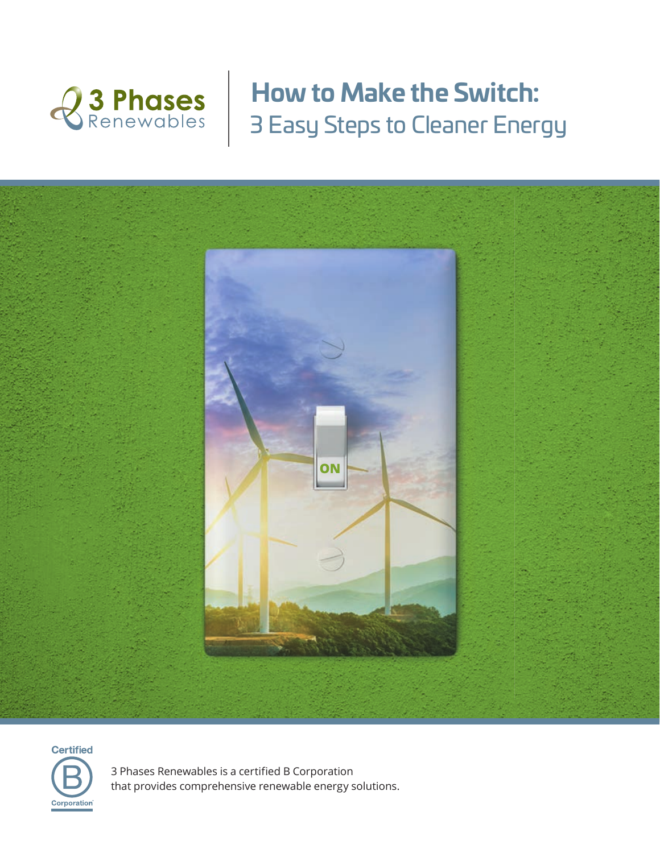

# **How to Make the Switch:** 3 Easy Steps to Cleaner Energy





3 Phases Renewables is a certified B Corporation that provides comprehensive renewable energy solutions.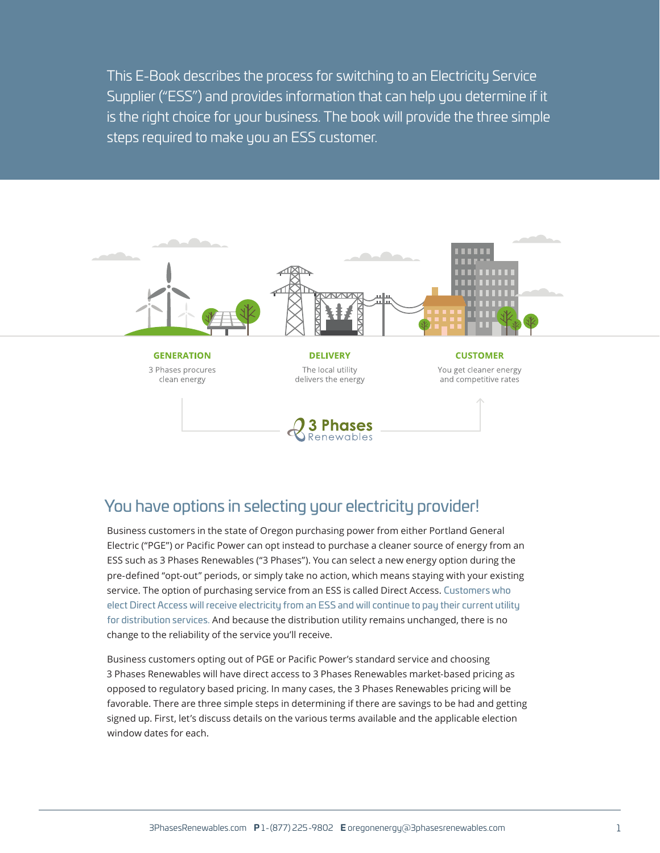This E-Book describes the process for switching to an Electricity Service Supplier ("ESS") and provides information that can help you determine if it is the right choice for your business. The book will provide the three simple steps required to make you an ESS customer.



# You have options in selecting your electricity provider!

Business customers in the state of Oregon purchasing power from either Portland General Electric ("PGE") or Pacific Power can opt instead to purchase a cleaner source of energy from an ESS such as 3 Phases Renewables ("3 Phases"). You can select a new energy option during the pre-defined "opt-out" periods, or simply take no action, which means staying with your existing service. The option of purchasing service from an ESS is called Direct Access. Customers who elect Direct Access will receive electricity from an ESS and will continue to pay their current utility for distribution services. And because the distribution utility remains unchanged, there is no change to the reliability of the service you'll receive.

Business customers opting out of PGE or Pacific Power's standard service and choosing 3 Phases Renewables will have direct access to 3 Phases Renewables market-based pricing as opposed to regulatory based pricing. In many cases, the 3 Phases Renewables pricing will be favorable. There are three simple steps in determining if there are savings to be had and getting signed up. First, let's discuss details on the various terms available and the applicable election window dates for each.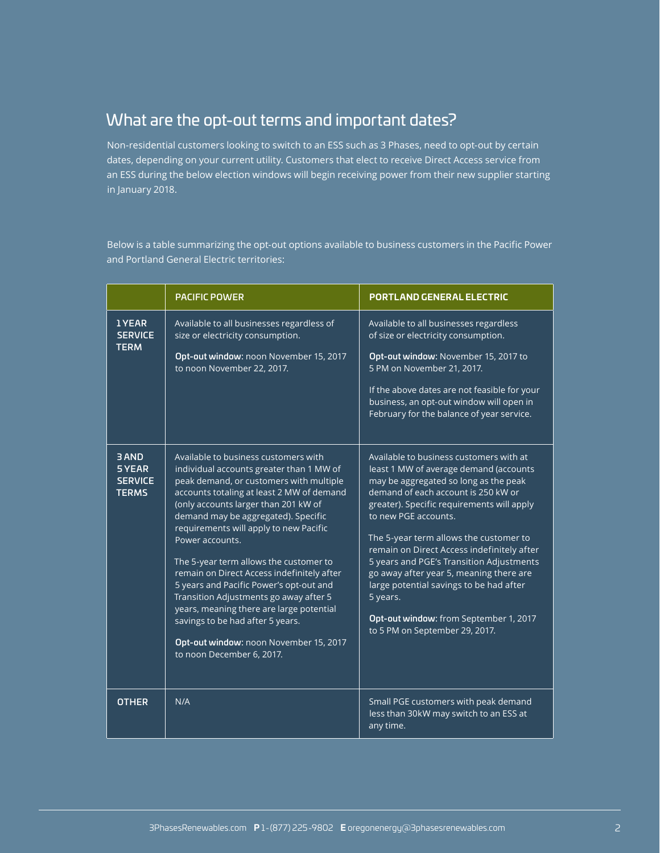# What are the opt-out terms and important dates?

Non-residential customers looking to switch to an ESS such as 3 Phases, need to opt-out by certain dates, depending on your current utility. Customers that elect to receive Direct Access service from an ESS during the below election windows will begin receiving power from their new supplier starting in January 2018.

Below is a table summarizing the opt-out options available to business customers in the Pacific Power and Portland General Electric territories:

|                                                         | <b>PACIFIC POWER</b>                                                                                                                                                                                                                                                                                                                                                                                                                                                                                                                                                                                                                                     | <b>PORTLAND GENERAL ELECTRIC</b>                                                                                                                                                                                                                                                                                                                                                                                                                                                                                                                          |
|---------------------------------------------------------|----------------------------------------------------------------------------------------------------------------------------------------------------------------------------------------------------------------------------------------------------------------------------------------------------------------------------------------------------------------------------------------------------------------------------------------------------------------------------------------------------------------------------------------------------------------------------------------------------------------------------------------------------------|-----------------------------------------------------------------------------------------------------------------------------------------------------------------------------------------------------------------------------------------------------------------------------------------------------------------------------------------------------------------------------------------------------------------------------------------------------------------------------------------------------------------------------------------------------------|
| <b>1YEAR</b><br><b>SERVICE</b><br><b>TERM</b>           | Available to all businesses regardless of<br>size or electricity consumption.<br>Opt-out window: noon November 15, 2017<br>to noon November 22, 2017.                                                                                                                                                                                                                                                                                                                                                                                                                                                                                                    | Available to all businesses regardless<br>of size or electricity consumption.<br>Opt-out window: November 15, 2017 to<br>5 PM on November 21, 2017.<br>If the above dates are not feasible for your<br>business, an opt-out window will open in<br>February for the balance of year service.                                                                                                                                                                                                                                                              |
| <b>BAND</b><br>5 YEAR<br><b>SERVICE</b><br><b>TERMS</b> | Available to business customers with<br>individual accounts greater than 1 MW of<br>peak demand, or customers with multiple<br>accounts totaling at least 2 MW of demand<br>(only accounts larger than 201 kW of<br>demand may be aggregated). Specific<br>requirements will apply to new Pacific<br>Power accounts.<br>The 5-year term allows the customer to<br>remain on Direct Access indefinitely after<br>5 years and Pacific Power's opt-out and<br>Transition Adjustments go away after 5<br>years, meaning there are large potential<br>savings to be had after 5 years.<br>Opt-out window: noon November 15, 2017<br>to noon December 6, 2017. | Available to business customers with at<br>least 1 MW of average demand (accounts<br>may be aggregated so long as the peak<br>demand of each account is 250 kW or<br>greater). Specific requirements will apply<br>to new PGE accounts.<br>The 5-year term allows the customer to<br>remain on Direct Access indefinitely after<br>5 years and PGE's Transition Adjustments<br>go away after year 5, meaning there are<br>large potential savings to be had after<br>5 years.<br>Opt-out window: from September 1, 2017<br>to 5 PM on September 29, 2017. |
| <b>OTHER</b>                                            | N/A                                                                                                                                                                                                                                                                                                                                                                                                                                                                                                                                                                                                                                                      | Small PGE customers with peak demand<br>less than 30kW may switch to an ESS at<br>any time.                                                                                                                                                                                                                                                                                                                                                                                                                                                               |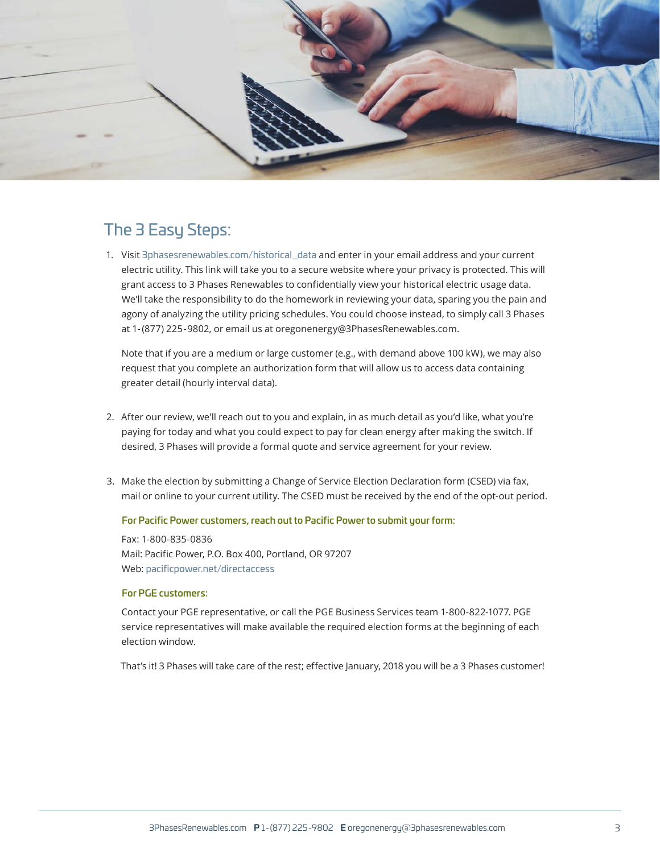

# The 3 Easy Steps:

1. Visit 3phasesrenewables.com/historical\_data and enter in your email address and your current electric utility. This link will take you to a secure website where your privacy is protected. This will grant access to 3 Phases Renewables to confidentially view your historical electric usage data. We'll take the responsibility to do the homework in reviewing your data, sparing you the pain and agony of analyzing the utility pricing schedules. You could choose instead, to simply call 3 Phases at 1- (877) 225-9802, or email us at oregonenergy@3PhasesRenewables.com.

Note that if you are a medium or large customer (e.g., with demand above 100 kW), we may also request that you complete an authorization form that will allow us to access data containing greater detail (hourly interval data).

- 2. After our review, we'll reach out to you and explain, in as much detail as you'd like, what you're paying for today and what you could expect to pay for clean energy after making the switch. If desired, 3 Phases will provide a formal quote and service agreement for your review.
- 3. Make the election by submitting a Change of Service Election Declaration form (CSED) via fax, mail or online to your current utility. The CSED must be received by the end of the opt-out period.

### For Pacific Power customers, reach out to Pacific Power to submit your form:

Fax: 1-800-835-0836 Mail: Pacific Power, P.O. Box 400, Portland, OR 97207 Web: pacificpower.net/directaccess

### For PGE customers:

Contact your PGE representative, or call the PGE Business Services team 1-800-822-1077. PGE service representatives will make available the required election forms at the beginning of each election window.

That's it! 3 Phases will take care of the rest; effective January, 2018 you will be a 3 Phases customer!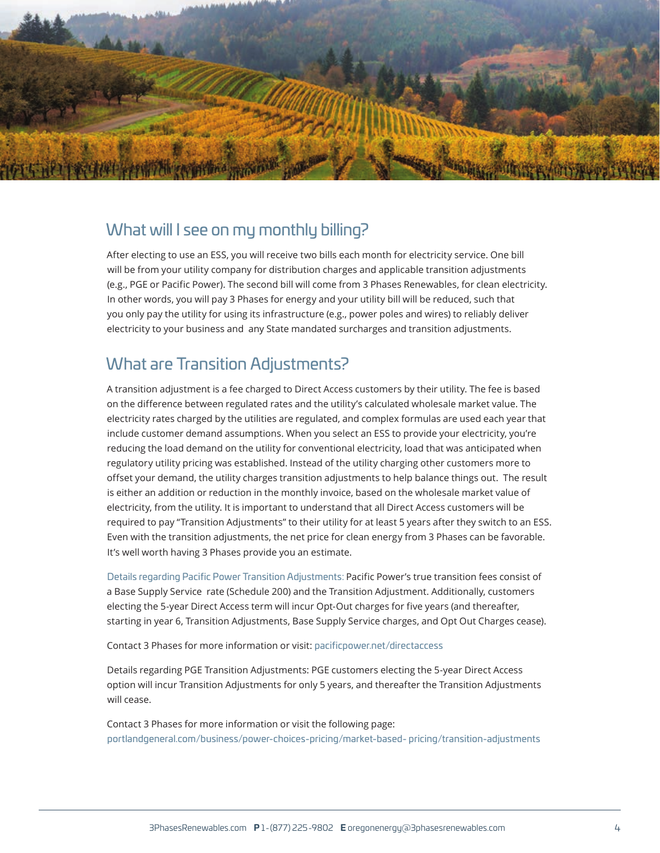

## What will I see on my monthly billing?

After electing to use an ESS, you will receive two bills each month for electricity service. One bill will be from your utility company for distribution charges and applicable transition adjustments (e.g., PGE or Pacific Power). The second bill will come from 3 Phases Renewables, for clean electricity. In other words, you will pay 3 Phases for energy and your utility bill will be reduced, such that you only pay the utility for using its infrastructure (e.g., power poles and wires) to reliably deliver electricity to your business and any State mandated surcharges and transition adjustments.

# What are Transition Adjustments?

A transition adjustment is a fee charged to Direct Access customers by their utility. The fee is based on the difference between regulated rates and the utility's calculated wholesale market value. The electricity rates charged by the utilities are regulated, and complex formulas are used each year that include customer demand assumptions. When you select an ESS to provide your electricity, you're reducing the load demand on the utility for conventional electricity, load that was anticipated when regulatory utility pricing was established. Instead of the utility charging other customers more to offset your demand, the utility charges transition adjustments to help balance things out. The result is either an addition or reduction in the monthly invoice, based on the wholesale market value of electricity, from the utility. It is important to understand that all Direct Access customers will be required to pay "Transition Adjustments" to their utility for at least 5 years after they switch to an ESS. Even with the transition adjustments, the net price for clean energy from 3 Phases can be favorable. It's well worth having 3 Phases provide you an estimate.

Details regarding Pacific Power Transition Adjustments: Pacific Power's true transition fees consist of a Base Supply Service rate (Schedule 200) and the Transition Adjustment. Additionally, customers electing the 5-year Direct Access term will incur Opt-Out charges for five years (and thereafter, starting in year 6, Transition Adjustments, Base Supply Service charges, and Opt Out Charges cease).

Contact 3 Phases for more information or visit: pacificpower.net/directaccess

Details regarding PGE Transition Adjustments: PGE customers electing the 5-year Direct Access option will incur Transition Adjustments for only 5 years, and thereafter the Transition Adjustments will cease.

Contact 3 Phases for more information or visit the following page: portlandgeneral.com/business/power-choices-pricing/market-based- pricing/transition-adjustments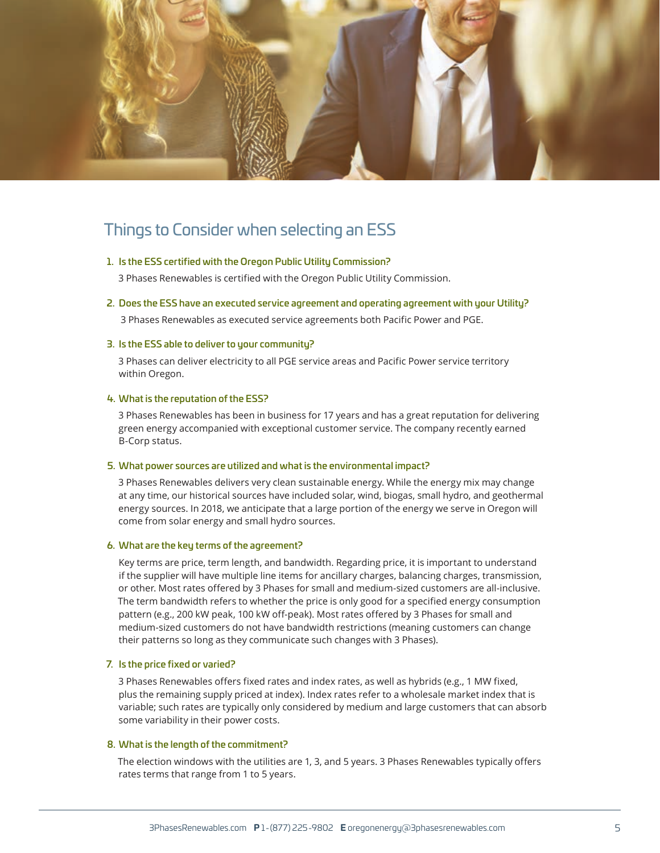

## Things to Consider when selecting an ESS

### 1. Is the ESS certified with the Oregon Public Utility Commission?

3 Phases Renewables is certified with the Oregon Public Utility Commission.

2. Does the ESS have an executed service agreement and operating agreement with your Utility?

3 Phases Renewables as executed service agreements both Pacific Power and PGE.

### 3. Is the ESS able to deliver to your community?

3 Phases can deliver electricity to all PGE service areas and Pacific Power service territory within Oregon.

#### 4. What is the reputation of the ESS?

3 Phases Renewables has been in business for 17 years and has a great reputation for delivering green energy accompanied with exceptional customer service. The company recently earned B-Corp status.

#### 5. What power sources are utilized and what is the environmental impact?

3 Phases Renewables delivers very clean sustainable energy. While the energy mix may change at any time, our historical sources have included solar, wind, biogas, small hydro, and geothermal energy sources. In 2018, we anticipate that a large portion of the energy we serve in Oregon will come from solar energy and small hydro sources.

#### 6. What are the key terms of the agreement?

Key terms are price, term length, and bandwidth. Regarding price, it is important to understand if the supplier will have multiple line items for ancillary charges, balancing charges, transmission, or other. Most rates offered by 3 Phases for small and medium-sized customers are all-inclusive. The term bandwidth refers to whether the price is only good for a specified energy consumption pattern (e.g., 200 kW peak, 100 kW off-peak). Most rates offered by 3 Phases for small and medium-sized customers do not have bandwidth restrictions (meaning customers can change their patterns so long as they communicate such changes with 3 Phases).

#### 7. Is the price fixed or varied?

3 Phases Renewables offers fixed rates and index rates, as well as hybrids (e.g., 1 MW fixed, plus the remaining supply priced at index). Index rates refer to a wholesale market index that is variable; such rates are typically only considered by medium and large customers that can absorb some variability in their power costs.

#### 8. What is the length of the commitment?

The election windows with the utilities are 1, 3, and 5 years. 3 Phases Renewables typically offers rates terms that range from 1 to 5 years.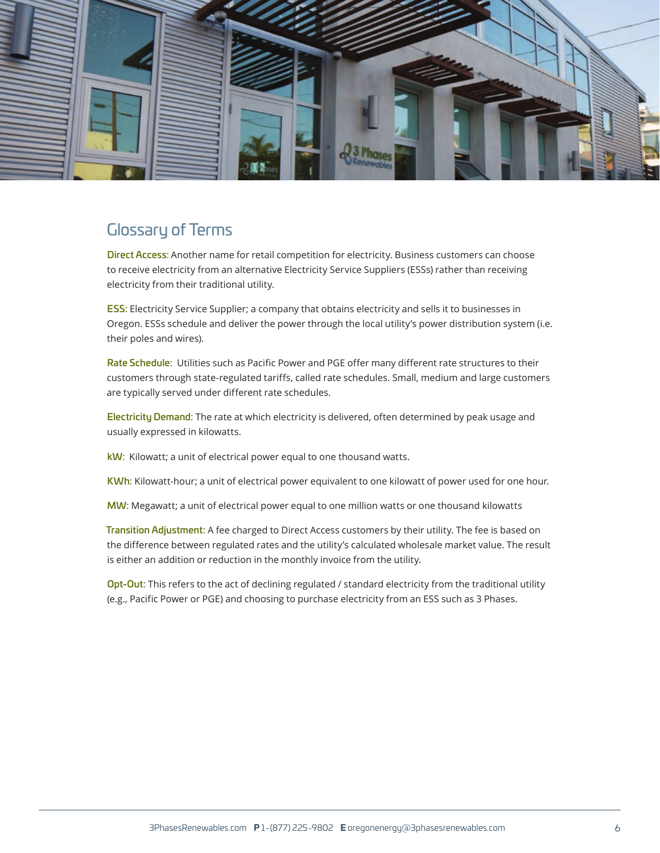

# Glossary of Terms

Direct Access: Another name for retail competition for electricity. Business customers can choose to receive electricity from an alternative Electricity Service Suppliers (ESSs) rather than receiving electricity from their traditional utility.

**ESS:** Electricity Service Supplier; a company that obtains electricity and sells it to businesses in Oregon. ESSs schedule and deliver the power through the local utility's power distribution system (i.e. their poles and wires).

Rate Schedule: Utilities such as Pacific Power and PGE offer many different rate structures to their customers through state-regulated tariffs, called rate schedules. Small, medium and large customers are typically served under different rate schedules.

Electricity Demand: The rate at which electricity is delivered, often determined by peak usage and usually expressed in kilowatts.

kW: Kilowatt; a unit of electrical power equal to one thousand watts.

KWh: Kilowatt-hour; a unit of electrical power equivalent to one kilowatt of power used for one hour.

MW: Megawatt; a unit of electrical power equal to one million watts or one thousand kilowatts

Transition Adjustment: A fee charged to Direct Access customers by their utility. The fee is based on the difference between regulated rates and the utility's calculated wholesale market value. The result is either an addition or reduction in the monthly invoice from the utility.

Opt-Out: This refers to the act of declining regulated / standard electricity from the traditional utility (e.g., Pacific Power or PGE) and choosing to purchase electricity from an ESS such as 3 Phases.